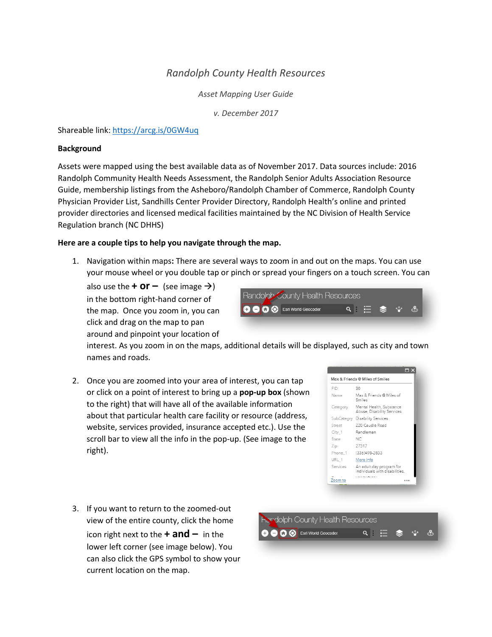## *Randolph County Health Resources*

*Asset Mapping User Guide*

*v. December 2017*

Shareable link:<https://arcg.is/0GW4uq>

## **Background**

Assets were mapped using the best available data as of November 2017. Data sources include: 2016 Randolph Community Health Needs Assessment, the Randolph Senior Adults Association Resource Guide, membership listings from the Asheboro/Randolph Chamber of Commerce, Randolph County Physician Provider List, Sandhills Center Provider Directory, Randolph Health's online and printed provider directories and licensed medical facilities maintained by the NC Division of Health Service Regulation branch (NC DHHS)

## **Here are a couple tips to help you navigate through the map.**

1. Navigation within maps**:** There are several ways to zoom in and out on the maps. You can use your mouse wheel or you double tap or pinch or spread your fingers on a touch screen. You can

also use the **+ or –** (see image  $\rightarrow$ ) in the bottom right-hand corner of the map. Once you zoom in, you can click and drag on the map to pan around and pinpoint your location of



interest. As you zoom in on the maps, additional details will be displayed, such as city and town names and roads.

2. Once you are zoomed into your area of interest, you can tap or click on a point of interest to bring up a **pop-up box** (shown to the right) that will have all of the available information about that particular health care facility or resource (address, website, services provided, insurance accepted etc.). Use the scroll bar to view all the info in the pop-up. (See image to the right).



3. If you want to return to the zoomed-out view of the entire county, click the home icon right next to the **+ and –** in the lower left corner (see image below). You can also click the GPS symbol to show your current location on the map.

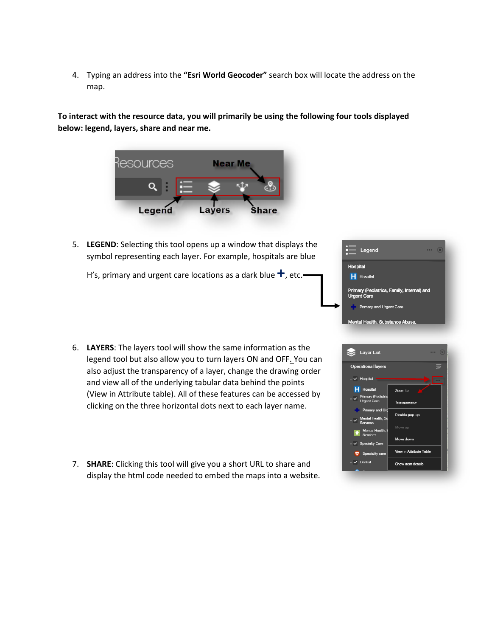4. Typing an address into the **"Esri World Geocoder"** search box will locate the address on the map.

**To interact with the resource data, you will primarily be using the following four tools displayed below: legend, layers, share and near me.**



5. **LEGEND**: Selecting this tool opens up a window that displays the symbol representing each layer. For example, hospitals are blue

H's, primary and urgent care locations as a dark blue **+**, etc.



- 6. **LAYERS**: The layers tool will show the same information as the legend tool but also allow you to turn layers ON and OFF. You can also adjust the transparency of a layer, change the drawing order and view all of the underlying tabular data behind the points (View in Attribute table). All of these features can be accessed by clicking on the three horizontal dots next to each layer name.
- 7. **SHARE**: Clicking this tool will give you a short URL to share and display the html code needed to embed the maps into a website.